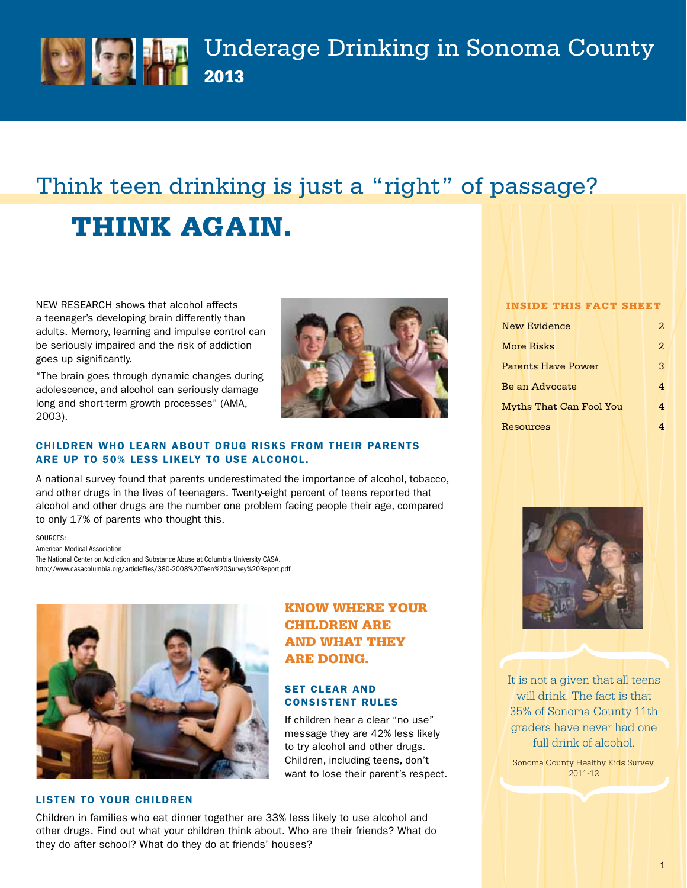

Underage Drinking in Sonoma County 2013

# Think teen drinking is just a "right" of passage?

# thinK again.

NEW RESEARCH shows that alcohol affects a teenager's developing brain differently than adults. Memory, learning and impulse control can be seriously impaired and the risk of addiction goes up significantly.

"The brain goes through dynamic changes during adolescence, and alcohol can seriously damage long and short-term growth processes" (AMA, 2003).



Know where your

If children hear a clear "no use" message they are 42% less likely to try alcohol and other drugs. children, including teens, don't want to lose their parent's respect.

**CHILDREN ARE** and what they

are doing.

set clear and consistent rules

### children who learn about drug risks from their parents are up to 50% less likely to use alcohol.

a national survey found that parents underestimated the importance of alcohol, tobacco, and other drugs in the lives of teenagers. Twenty-eight percent of teens reported that alcohol and other drugs are the number one problem facing people their age, compared to only 17% of parents who thought this.

SOURCES:

American Medical Association The National Center on Addiction and Substance Abuse at Columbia University CASA. http://www.casacolumbia.org/articlefiles/380-2008%20Teen%20Survey%20Report.pdf



#### listen to your children

children in families who eat dinner together are 33% less likely to use alcohol and other drugs. Find out what your children think about. who are their friends? what do they do after school? what do they do at friends' houses?

#### inside this Fact sheet

| New Evidence                   | 2. |
|--------------------------------|----|
| More Risks                     | 2. |
| <b>Parents Have Power</b>      | 3  |
| Be an Advocate                 |    |
| <b>Myths That Can Fool You</b> |    |
| Resources                      |    |



It is not a given that all teens will drink. The fact is that 35% of Sonoma County 11th graders have never had one full drink of alcohol.

Sonoma County Healthy Kids Survey, 2011-12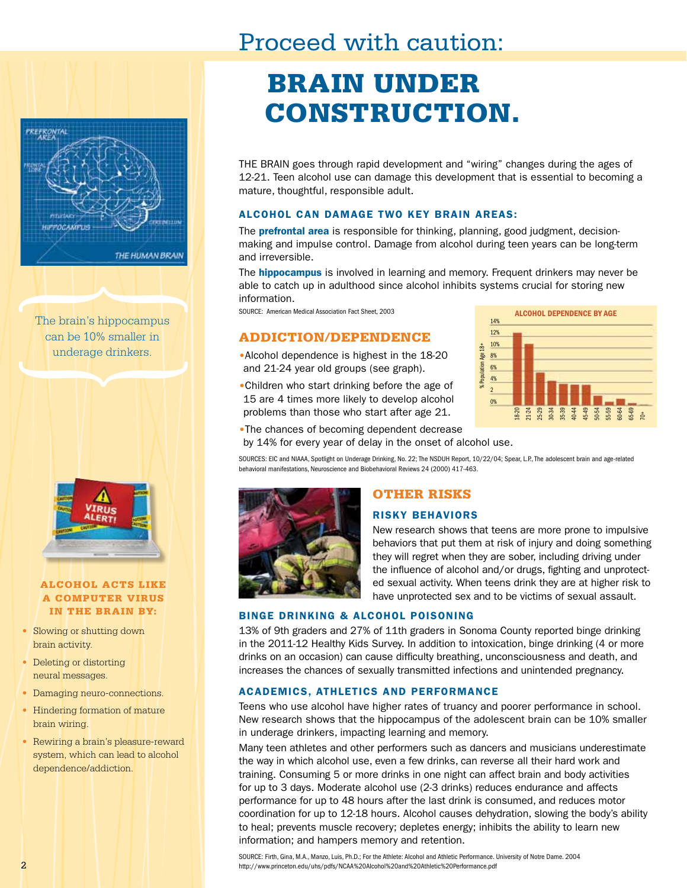# Proceed with caution:



The brain's hippocampus can be 10% smaller in



#### alcohol acts liKe a computer virus in the brain by:

- Slowing or shutting down brain activity.
- Deleting or distorting neural messages.
- Damaging neuro-connections.
- Hindering formation of mature brain wiring.
- Rewiring a brain's pleasure-reward system, which can lead to alcohol dependence/addiction.

# brain under construction.

THE BRAIN goes through rapid development and "wiring" changes during the ages of 12-21. Teen alcohol use can damage this development that is essential to becoming a mature, thoughtful, responsible adult.

#### alcohol can damage two key brain areas:

The **prefrontal area** is responsible for thinking, planning, good judgment, decisionmaking and impulse control. Damage from alcohol during teen years can be long-term and irreversible.

The **hippocampus** is involved in learning and memory. Frequent drinkers may never be able to catch up in adulthood since alcohol inhibits systems crucial for storing new information.

## ADDICTION/DEPENDENCE 12%

- underage drinkers. **•• • Alcohol dependence is highest in the 18-20** and 21-24 year old groups (see graph).
	- •children who start drinking before the age of 15 are 4 times more likely to develop alcohol  $\frac{1}{0}$   $\frac{1}{0}$ problems than those who start after age 21.



- •The chances of becoming dependent decrease
- by 14% for every year of delay in the onset of alcohol use.

SOURCES: EIC and NIAAA, Spotlight on Underage Drinking, No. 22; The NSDUH Report, 10/22/04; Spear, L.P., The adolescent brain and age-related behavioral manifestations, Neuroscience and Biobehavioral Reviews 24 (2000) 417-463.



## **OTHER RISKS**

#### risky behaviors

New research shows that teens are more prone to impulsive behaviors that put them at risk of injury and doing something they will regret when they are sober, including driving under the influence of alcohol and/or drugs, fighting and unprotected sexual activity. when teens drink they are at higher risk to have unprotected sex and to be victims of sexual assault.

#### binge drinking & alcohol poisoning

13% of 9th graders and 27% of 11th graders in sonoma county reported binge drinking in the 2011-12 Healthy Kids Survey. In addition to intoxication, binge drinking (4 or more drinks on an occasion) can cause difficulty breathing, unconsciousness and death, and increases the chances of sexually transmitted infections and unintended pregnancy.

#### academics, athletics and performance

Teens who use alcohol have higher rates of truancy and poorer performance in school. New research shows that the hippocampus of the adolescent brain can be 10% smaller in underage drinkers, impacting learning and memory.

Many teen athletes and other performers such as dancers and musicians underestimate the way in which alcohol use, even a few drinks, can reverse all their hard work and training. consuming 5 or more drinks in one night can affect brain and body activities for up to 3 days. Moderate alcohol use (2-3 drinks) reduces endurance and affects performance for up to 48 hours after the last drink is consumed, and reduces motor coordination for up to 12-18 hours. alcohol causes dehydration, slowing the body's ability to heal; prevents muscle recovery; depletes energy; inhibits the ability to learn new information; and hampers memory and retention.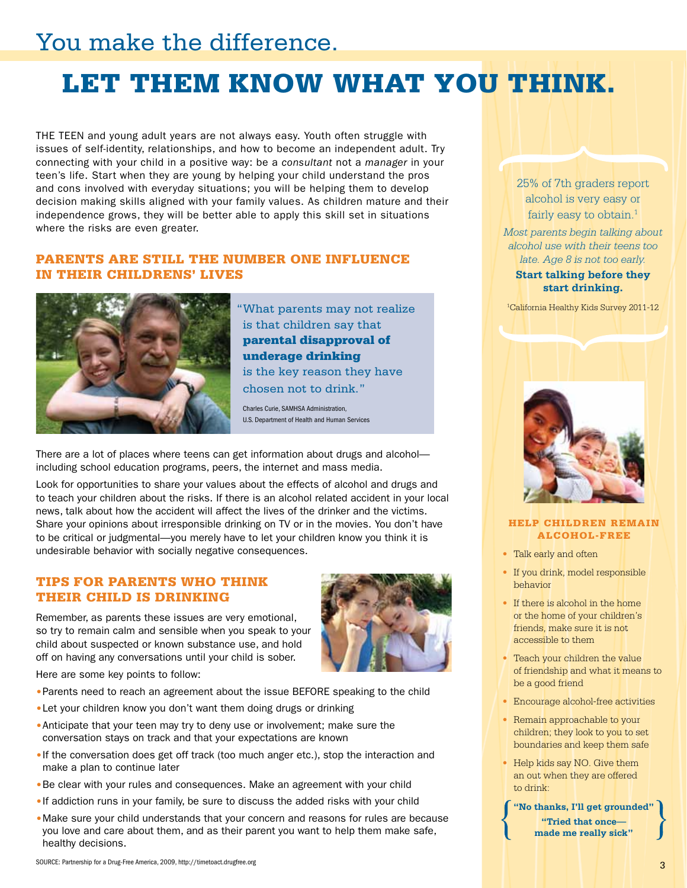# You make the difference.

# let them Know what you thinK.

The TeeN and young adult years are not always easy. Youth often struggle with issues of self-identity, relationships, and how to become an independent adult. Try connecting with your child in a positive way: be a *consultant* not a *manager* in your teen's life. start when they are young by helping your child understand the pros and cons involved with everyday situations; you will be helping them to develop decision making skills aligned with your family values. as children mature and their independence grows, they will be better able to apply this skill set in situations where the risks are even greater.

### parents are still the number one inFluence in their childrens' lives



"What parents may not realize is that children say that parental disapproval of underage drinking is the key reason they have chosen not to drink."

charles curie, SAMHSA Administration, u.S. Department of Health and Human Services

There are a lot of places where teens can get information about drugs and alcohol including school education programs, peers, the internet and mass media.

Look for opportunities to share your values about the effects of alcohol and drugs and to teach your children about the risks. If there is an alcohol related accident in your local news, talk about how the accident will affect the lives of the drinker and the victims. share your opinions about irresponsible drinking on TV or in the movies. You don't have to be critical or judgmental—you merely have to let your children know you think it is undesirable behavior with socially negative consequences.

## tips For parents who thinK their child is drinKing

Remember, as parents these issues are very emotional, so try to remain calm and sensible when you speak to your child about suspected or known substance use, and hold off on having any conversations until your child is sober.

here are some key points to follow:

- Parents need to reach an agreement about the issue BEFORE speaking to the child
- •Let your children know you don't want them doing drugs or drinking
- •Anticipate that your teen may try to deny use or involvement; make sure the conversation stays on track and that your expectations are known
- •If the conversation does get off track (too much anger etc.), stop the interaction and make a plan to continue later
- Be clear with your rules and consequences. Make an agreement with your child
- •If addiction runs in your family, be sure to discuss the added risks with your child
- •Make sure your child understands that your concern and reasons for rules are because you love and care about them, and as their parent you want to help them make safe, healthy decisions.

25% of 7th graders report alcohol is very easy or fairly easy to obtain.<sup>1</sup>

*Most parents begin talking about alcohol use with their teens too late. Age 8 is not too early.* 

**Start talking before they start drinking.** 

1 California Healthy Kids Survey 2011-12



#### help children remain alcohol-Free

- Talk early and often
- • If you drink, model responsible behavior
- If there is alcohol in the home or the home of your children's friends, make sure it is not accessible to them
- Teach your children the value of friendship and what it means to be a good friend
- Encourage alcohol-free activities
- Remain approachable to your children; they look to you to set boundaries and keep them safe
- Help kids say NO. Give them an out when they are offered to drink:

**"No thanks, I'll get grounded" "Tried that once made me really sick"**